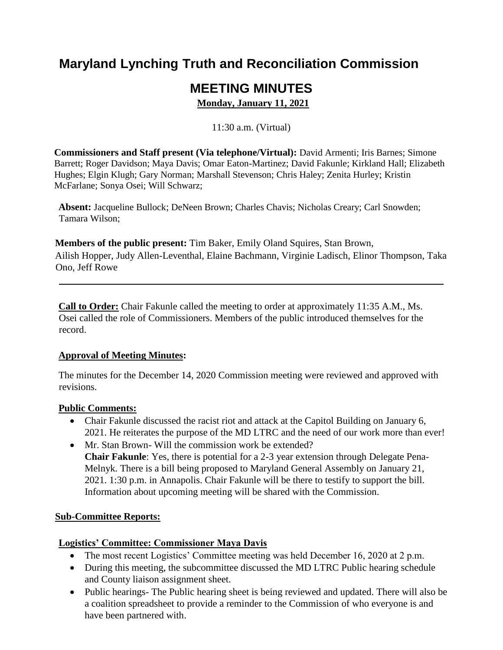# **Maryland Lynching Truth and Reconciliation Commission**

# **MEETING MINUTES**

**Monday, January 11, 2021** 

11:30 a.m. (Virtual)

 Hughes; Elgin Klugh; Gary Norman; Marshall Stevenson; Chris Haley; Zenita Hurley; Kristin **Commissioners and Staff present (Via telephone/Virtual):** David Armenti; Iris Barnes; Simone Barrett; Roger Davidson; Maya Davis; Omar Eaton-Martinez; David Fakunle; Kirkland Hall; Elizabeth McFarlane; Sonya Osei; Will Schwarz;

**Absent:** Jacqueline Bullock; DeNeen Brown; Charles Chavis; Nicholas Creary; Carl Snowden; Tamara Wilson;

**Members of the public present:** Tim Baker, Emily Oland Squires, Stan Brown, Ailish Hopper, Judy Allen-Leventhal, Elaine Bachmann, Virginie Ladisch, Elinor Thompson, Taka Ono, Jeff Rowe

**Call to Order:** Chair Fakunle called the meeting to order at approximately 11:35 A.M., Ms. Osei called the role of Commissioners. Members of the public introduced themselves for the record.

## **Approval of Meeting Minutes:**

The minutes for the December 14, 2020 Commission meeting were reviewed and approved with revisions.

## **Public Comments:**

- Chair Fakunle discussed the racist riot and attack at the Capitol Building on January 6, 2021. He reiterates the purpose of the MD LTRC and the need of our work more than ever!
- Mr. Stan Brown- Will the commission work be extended? **Chair Fakunle**: Yes, there is potential for a 2-3 year extension through Delegate Pena-Melnyk. There is a bill being proposed to Maryland General Assembly on January 21, 2021. 1:30 p.m. in Annapolis. Chair Fakunle will be there to testify to support the bill. Information about upcoming meeting will be shared with the Commission.

# **Sub-Committee Reports:**

## **Logistics' Committee: Commissioner Maya Davis**

- The most recent Logistics' Committee meeting was held December 16, 2020 at 2 p.m.
- During this meeting, the subcommittee discussed the MD LTRC Public hearing schedule and County liaison assignment sheet.
- Public hearings- The Public hearing sheet is being reviewed and updated. There will also be a coalition spreadsheet to provide a reminder to the Commission of who everyone is and have been partnered with.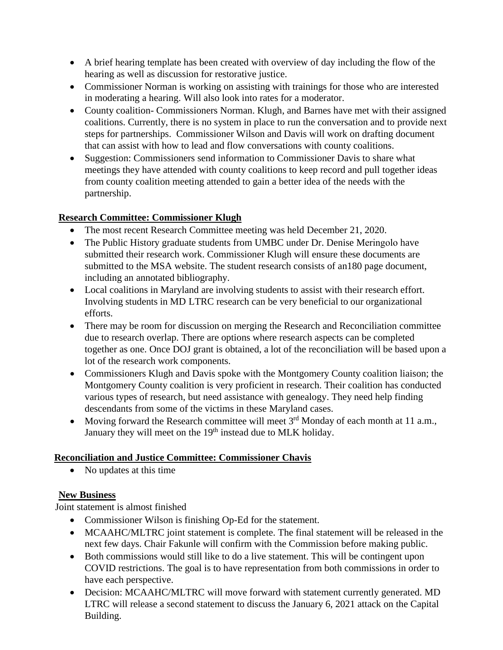- A brief hearing template has been created with overview of day including the flow of the hearing as well as discussion for restorative justice.
- Commissioner Norman is working on assisting with trainings for those who are interested in moderating a hearing. Will also look into rates for a moderator.
- County coalition- Commissioners Norman. Klugh, and Barnes have met with their assigned coalitions. Currently, there is no system in place to run the conversation and to provide next steps for partnerships. Commissioner Wilson and Davis will work on drafting document that can assist with how to lead and flow conversations with county coalitions.
- Suggestion: Commissioners send information to Commissioner Davis to share what meetings they have attended with county coalitions to keep record and pull together ideas from county coalition meeting attended to gain a better idea of the needs with the partnership.

## **Research Committee: Commissioner Klugh**

- The most recent Research Committee meeting was held December 21, 2020.
- The Public History graduate students from UMBC under Dr. Denise Meringolo have submitted their research work. Commissioner Klugh will ensure these documents are submitted to the MSA website. The student research consists of an180 page document, including an annotated bibliography.
- Local coalitions in Maryland are involving students to assist with their research effort. Involving students in MD LTRC research can be very beneficial to our organizational efforts.
- There may be room for discussion on merging the Research and Reconciliation committee due to research overlap. There are options where research aspects can be completed together as one. Once DOJ grant is obtained, a lot of the reconciliation will be based upon a lot of the research work components.
- Commissioners Klugh and Davis spoke with the Montgomery County coalition liaison; the Montgomery County coalition is very proficient in research. Their coalition has conducted various types of research, but need assistance with genealogy. They need help finding descendants from some of the victims in these Maryland cases.
- Moving forward the Research committee will meet  $3<sup>rd</sup>$  Monday of each month at 11 a.m., January they will meet on the 19<sup>th</sup> instead due to MLK holiday.

# **Reconciliation and Justice Committee: Commissioner Chavis**

• No updates at this time

# **New Business**

Joint statement is almost finished

- Commissioner Wilson is finishing Op-Ed for the statement.
- MCAAHC/MLTRC joint statement is complete. The final statement will be released in the next few days. Chair Fakunle will confirm with the Commission before making public.
- Both commissions would still like to do a live statement. This will be contingent upon COVID restrictions. The goal is to have representation from both commissions in order to have each perspective.
- Decision: MCAAHC/MLTRC will move forward with statement currently generated. MD LTRC will release a second statement to discuss the January 6, 2021 attack on the Capital Building.